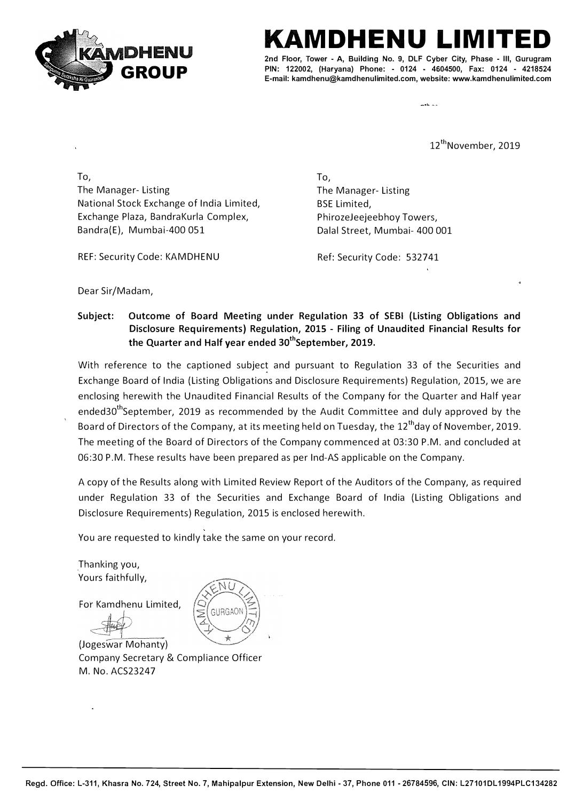

## **HENU**

**2nd Floor, Tower - A, Building No. 9, DLF Cyber City, Phase - Ill, Gurugram PIN: 122002, (Har yana) Phone: - 0124 - 4604500, Fax: 0124 - 4218524 E-mail: kamdhenu@kamdhenulimited.com, website: www.kamdhenulimited.com**

12<sup>th</sup>November, 2019

To, The Manager- Listing National Stock Exchange of India Limited, Exchange Plaza, BandraKurla Complex, Bandra(E), Mumbai-400 051

To, The Manager- Listing BSE Limited, PhirozeJeejeebhoy Towers, Dalal Street, Mumbai- 400 001

REF: Security Code: KAMDHENU

Ref: Security Code: 532741

Dear Sir/Madam,

**Subject: Outcome of Board Meeting under Regulation 33 of SEBI (Listing Obligations and Disclosure Requirements) Regulation, 2015 - Filing of Unaudited Financial Results for the Quarter and Half year ended 30thSeptember, 2019.** 

With reference to the captioned subject and pursuant to Regulation 33 of the Securities and Exchange Board of India (Listing Obligations and Disclosure Requirements) Regulation, 2015, we are enclosing herewith the Unaudited Financial Results of the Company for the Quarter and Half year ended30<sup>th</sup>September, 2019 as recommended by the Audit Committee and duly approved by the Board of Directors of the Company, at its meeting held on Tuesday, the 12<sup>th</sup>day of November, 2019. The meeting of the Board of Directors of the Company commenced at 03:30 P.M. and concluded at 06:30 P.M. These results have been prepared as per Ind-AS applicable on the Company.

A copy of the Results along with Limited Review Report of the Auditors of the Company, as required under Regulation 33 of the Securities and Exchange Board of India (Listing Obligations and Disclosure Requirements) Regulation, 2015 is enclosed herewith.

You are requested to kindly take the same on your record.

Thanking you, Yours faithfully,

For Kamdhenu Limited,



(Jogeswar Mohanty) Company Secretary & Compliance Officer M. No. ACS23247

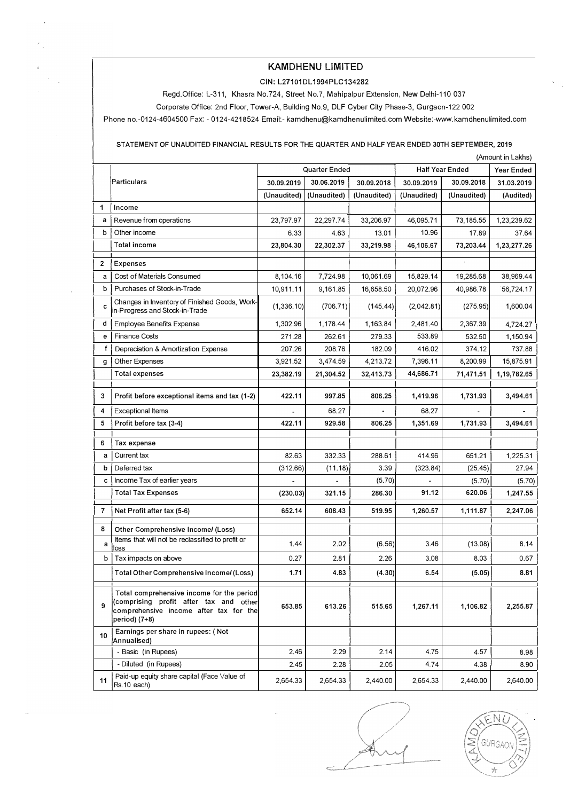### **KAMDHENU LIMITED**

#### **GIN: L27101 DL 1994PLC134282**

Regd.Office: L-311, Khasra **No.724,** Street No.7, Mahipalpur Extension, **New** Delhi-110 037

Corporate Office: 2nd Floor, Tower-A, Building **No.9,** DLF Cyber City Phase-3, Gurgaon-122 002

Phone no.-0124-4604500 Fax: - 0124-4218524 Email:- kamdhenu@kamdhenulimited.comWebsite:-www.kamdhenulimited.com

**STATEMENT OF UNAUDITED FINANCIAL RESULTS FOR** THE **QUARTER AND HALF YEAR ENDED 30TH SEPTEMBER, 2019** 

|    | (Amount in Lakhs)                                                                                                                              |               |             |             |                        |             |             |
|----|------------------------------------------------------------------------------------------------------------------------------------------------|---------------|-------------|-------------|------------------------|-------------|-------------|
|    |                                                                                                                                                | Quarter Ended |             |             | <b>Half Year Ended</b> |             | Year Ended  |
|    | Particulars                                                                                                                                    | 30.09.2019    | 30.06.2019  | 30.09.2018  | 30.09.2019             | 30.09.2018  | 31.03.2019  |
|    |                                                                                                                                                | (Unaudited)   | (Unaudited) | (Unaudited) | (Unaudited)            | (Unaudited) | (Audited)   |
| 1  | Income                                                                                                                                         |               |             |             |                        |             |             |
| a  | Revenue from operations                                                                                                                        | 23,797.97     | 22,297.74   | 33,206.97   | 46,095.71              | 73,185.55   | 1,23,239.62 |
| b  | Other income                                                                                                                                   | 6.33          | 4.63        | 13.01       | 10.96                  | 17.89       | 37.64       |
|    | <b>Total income</b>                                                                                                                            | 23,804.30     | 22,302.37   | 33,219.98   | 46,106.67              | 73,203.44   | 1,23,277.26 |
| 2  | <b>Expenses</b>                                                                                                                                |               |             |             |                        |             |             |
| a  | Cost of Materials Consumed                                                                                                                     | 8,104.16      | 7,724.98    | 10,061.69   | 15,829.14              | 19,285.68   | 38,969.44   |
| b  | Purchases of Stock-in-Trade                                                                                                                    | 10,911.11     | 9,161.85    | 16,658.50   | 20,072.96              | 40,986.78   | 56,724.17   |
| c  | Changes in Inventory of Finished Goods, Work-<br>in-Progress and Stock-in-Trade                                                                | (1,336.10)    | (706.71)    | (145.44)    | (2,042.81)             | (275.95)    | 1,600.04    |
| d  | <b>Employee Benefits Expense</b>                                                                                                               | 1,302.96      | 1,178.44    | 1,163.84    | 2,481.40               | 2,367.39    | 4,724.27    |
| е  | <b>Finance Costs</b>                                                                                                                           | 271.28        | 262.61      | 279.33      | 533.89                 | 532.50      | 1,150.94    |
| f  | Depreciation & Amortization Expense                                                                                                            | 207.26        | 208.76      | 182.09      | 416.02                 | 374.12      | 737.88      |
| g  | Other Expenses                                                                                                                                 | 3,921.52      | 3,474.59    | 4,213.72    | 7,396.11               | 8,200.99    | 15,875.91   |
|    | <b>Total expenses</b>                                                                                                                          | 23,382.19     | 21,304.52   | 32,413.73   | 44,686.71              | 71,471.51   | 1,19,782.65 |
| 3  | Profit before exceptional items and tax (1-2)                                                                                                  | 422.11        | 997.85      | 806.25      | 1,419.96               | 1,731.93    | 3,494.61    |
| 4  | <b>Exceptional Items</b>                                                                                                                       |               | 68.27       |             | 68.27                  |             |             |
| 5  | Profit before tax (3-4)                                                                                                                        | 422.11        | 929,58      | 806.25      | 1,351.69               | 1,731,93    | 3,494.61    |
| 6  | Tax expense                                                                                                                                    |               |             |             |                        |             |             |
| a  | Current tax                                                                                                                                    | 82.63         | 332.33      | 288.61      | 414.96                 | 651.21      | 1,225.31    |
| b  | Deferred tax                                                                                                                                   | (312.66)      | (11.18)     | 3.39        | (323.84)               | (25.45)     | 27.94       |
| c  | Income Tax of earlier years                                                                                                                    |               |             | (5.70)      |                        | (5.70)      | (5.70)      |
|    | <b>Total Tax Expenses</b>                                                                                                                      | (230.03)      | 321.15      | 286.30      | 91.12                  | 620.06      | 1,247.55    |
| 7  | Net Profit after tax (5-6)                                                                                                                     | 652.14        | 608.43      | 519.95      | 1,260.57               | 1,111.87    | 2,247.06    |
| 8  | Other Comprehensive Income/ (Loss)                                                                                                             |               |             |             |                        |             |             |
| a  | Items that will not be reclassified to profit or<br>loss                                                                                       | 1.44          | 2.02        | (6.56)      | 3.46                   | (13.08)     | 8.14        |
| b  | Tax impacts on above                                                                                                                           | 0.27          | 2.81        | 2.26        | 3.08                   | 8.03        | 0.67        |
|    | Total Other Comprehensive Income/(Loss)                                                                                                        | 1.71          | 4.83        | (4.30)      | 6.54                   | (5.05)      | 8.81        |
| 9  | Total comprehensive income for the period<br>(comprising profit after tax and other<br>comprehensive income after tax for the<br>period) (7+8) | 653.85        | 613.26      | 515.65      | 1,267.11               | 1,106.82    | 2,255.87    |
| 10 | Earnings per share in rupees: (Not<br>Annualised)                                                                                              |               |             |             |                        |             |             |
|    | - Basic (in Rupees)                                                                                                                            | 2.46          | 2.29        | 2.14        | 4.75                   | 4.57        | 8.98        |
|    | - Diluted (in Rupees)                                                                                                                          | 2.45          | 2.28        | 2.05        | 4.74                   | 4.38        | 8.90        |
| 11 | Paid-up equity share capital (Face Value of<br>Rs.10 each)                                                                                     | 2,654.33      | 2,654.33    | 2,440.00    | 2,654.33               | 2,440.00    | 2,640.00    |

N GURGAON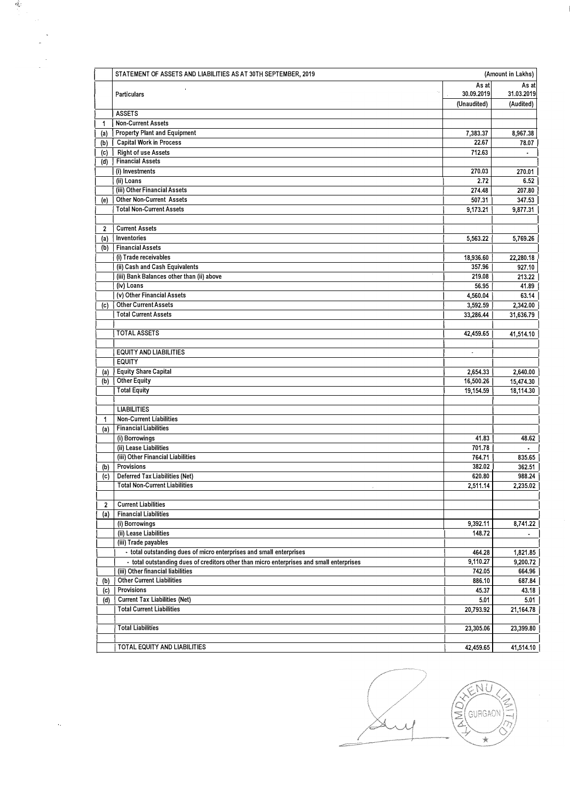|              | STATEMENT OF ASSETS AND LIABILITIES AS AT 30TH SEPTEMBER, 2019                           |             | (Amount in Lakhs) |
|--------------|------------------------------------------------------------------------------------------|-------------|-------------------|
|              |                                                                                          | As at       | As at             |
|              | Particulars                                                                              | 30.09.2019  | 31.03.2019        |
|              |                                                                                          | (Unaudited) | (Audited)         |
|              | <b>ASSETS</b>                                                                            |             |                   |
| 1            | <b>Non-Current Assets</b><br><b>Property Plant and Equipment</b>                         |             |                   |
| (a)          | <b>Capital Work in Process</b>                                                           | 7,383.37    | 8,967.38          |
| (b)          | <b>Right of use Assets</b>                                                               | 22.67       | 78.07             |
| (c)<br>(d)   | <b>Financial Assets</b>                                                                  | 712.63      | $\mathbf{r}$      |
|              | (i) Investments                                                                          | 270.03      | 270.01            |
|              | (ii) Loans                                                                               | 2.72        | 6.52              |
|              | (iii) Other Financial Assets                                                             | 274.48      | 207.80            |
| (e)          | <b>Other Non-Current Assets</b>                                                          | 507.31      | 347.53            |
|              | <b>Total Non-Current Assets</b>                                                          |             |                   |
|              |                                                                                          | 9,173.21    | 9,877.31          |
| $\mathbf{2}$ | <b>Current Assets</b>                                                                    |             |                   |
|              | Inventories                                                                              |             |                   |
| (a)<br>(b)   | Financial Assets                                                                         | 5,563.22    | 5,769.26          |
|              | (i) Trade receivables                                                                    | 18,936.60   | 22,280.18         |
|              | (ii) Cash and Cash Equivalents                                                           | 357.96      | 927.10            |
|              | (iii) Bank Balances other than (ii) above                                                | 219.08      | 213.22            |
|              | (iv) Loans                                                                               | 56.95       | 41.89             |
|              | (v) Other Financial Assets                                                               | 4,560.04    | 63.14             |
| (c)          | <b>Other Current Assets</b>                                                              | 3,592.59    | 2,342.00          |
|              | <b>Total Current Assets</b>                                                              | 33.286.44   | 31,636.79         |
|              |                                                                                          |             |                   |
|              | <b>TOTAL ASSETS</b>                                                                      | 42,459.65   | 41,514.10         |
|              |                                                                                          |             |                   |
|              | <b>EQUITY AND LIABILITIES</b>                                                            | ÷           |                   |
|              | <b>EQUITY</b>                                                                            |             |                   |
| (a)          | <b>Equity Share Capital</b>                                                              | 2,654.33    | 2,640.00          |
| (b)          | <b>Other Equity</b>                                                                      | 16,500.26   | 15,474.30         |
|              | <b>Total Equity</b>                                                                      | 19,154.59   | 18,114.30         |
|              |                                                                                          |             |                   |
|              | <b>LIABILITIES</b>                                                                       |             |                   |
| 1            | <b>Non-Current Liabilities</b>                                                           |             |                   |
| (a)          | <b>Financial Liabilities</b>                                                             |             |                   |
|              | (i) Borrowings                                                                           | 41.83       | 48.62             |
|              | (ii) Lease Liabilities                                                                   | 701.78      |                   |
|              | (iii) Other Financial Liabilities                                                        | 764.71      | 835.65            |
| (b)          | Provisions                                                                               | 382.02      | 362.51            |
| (c)          | <b>Deferred Tax Liabilities (Net)</b>                                                    | 620.80      | 988.24            |
|              | <b>Total Non-Current Liabilities</b>                                                     | 2,511.14    | 2,235.02          |
|              |                                                                                          |             |                   |
| 2            | <b>Current Liabilities</b>                                                               |             |                   |
| (a)          | <b>Financial Liabilities</b>                                                             |             |                   |
|              | (i) Borrowings                                                                           | 9,392.11    | 8,741.22          |
|              | (ii) Lease Liabilities                                                                   | 148.72      |                   |
|              | (iii) Trade payables                                                                     |             |                   |
|              | - total outstanding dues of micro enterprises and small enterprises                      | 464.28      | 1,821.85          |
|              | - total outstanding dues of creditors other than micro enterprises and small enterprises | 9,110.27    | 9,200.72          |
|              | (iii) Other financial liabilities                                                        | 742.05      | 664.96            |
| (b)          | <b>Other Current Liabilities</b>                                                         | 886.10      | 687.84            |
| (c)          | Provisions                                                                               | 45.37       | 43.18             |
| (d)          | <b>Current Tax Liabilities (Net)</b>                                                     | 5.01        | 5.01              |
|              | <b>Total Current Liabilities</b>                                                         | 20,793.92   | 21,164.78         |
|              |                                                                                          |             |                   |
|              | <b>Total Liabilities</b>                                                                 | 23,305.06   | 23,399.80         |
|              |                                                                                          |             |                   |
|              | TOTAL EQUITY AND LIABILITIES                                                             | 42,459.65   | 41,514.10         |

卷

ENU E GURGAON  $\star$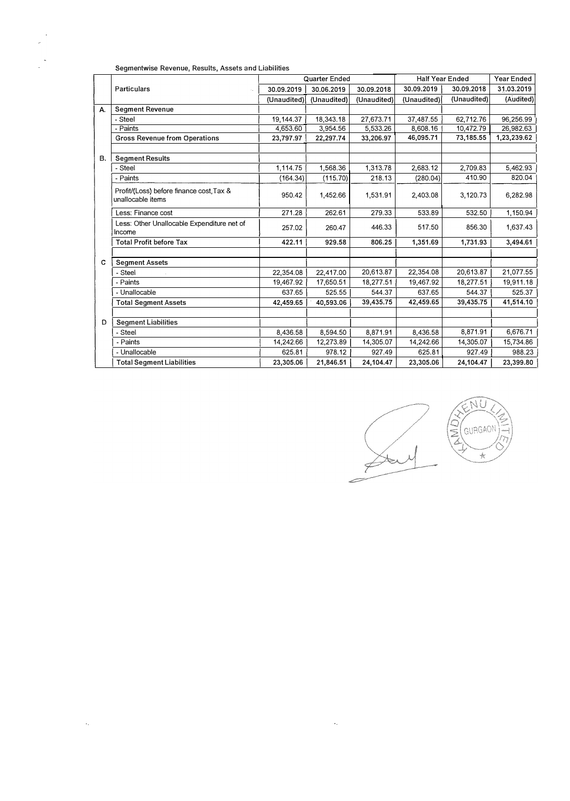|    | Jeginerityrise Revenue, Results, Assets and Liabilities       |               |             |             |                        |             |             |
|----|---------------------------------------------------------------|---------------|-------------|-------------|------------------------|-------------|-------------|
|    |                                                               | Quarter Ended |             |             | <b>Half Year Ended</b> | Year Ended  |             |
|    | Particulars<br>$\mathcal{A}_{\mathcal{A}}$                    | 30.09.2019    | 30.06.2019  | 30.09.2018  | 30.09.2019             | 30.09.2018  | 31.03.2019  |
|    |                                                               | (Unaudited)   | (Unaudited) | (Unaudited) | (Unaudited)            | (Unaudited) | (Audited)   |
| А. | <b>Segment Revenue</b>                                        |               |             |             |                        |             |             |
|    | - Steel                                                       | 19,144.37     | 18,343.18   | 27,673.71   | 37,487.55              | 62,712.76   | 96,256.99   |
|    | - Paints                                                      | 4,653.60      | 3,954.56    | 5,533.26    | 8,608.16               | 10,472.79   | 26,982.63   |
|    | <b>Gross Revenue from Operations</b>                          | 23,797.97     | 22,297.74   | 33,206.97   | 46,095.71              | 73,185.55   | 1,23,239.62 |
|    |                                                               |               |             |             |                        |             |             |
| В. | <b>Segment Results</b>                                        |               |             |             |                        |             |             |
|    | - Steel                                                       | 1,114.75      | 1,568.36    | 1,313.78    | 2,683.12               | 2,709.83    | 5,462.93    |
|    | - Paints                                                      | (164.34)      | (115.70)    | 218.13      | (280.04)               | 410.90      | 820.04      |
|    | Profit/(Loss) before finance cost, Tax &<br>unallocable items | 950.42        | 1,452.66    | 1,531.91    | 2,403.08               | 3,120.73    | 6,282.98    |
|    | Less: Finance cost                                            | 271.28        | 262.61      | 279.33      | 533.89                 | 532.50      | 1,150.94    |
|    | Less: Other Unallocable Expenditure net of<br>Income          | 257.02        | 260.47      | 446.33      | 517.50                 | 856.30      | 1,637.43    |
|    | <b>Total Profit before Tax</b>                                | 422.11        | 929.58      | 806,25      | 1,351.69               | 1,731.93    | 3,494.61    |
|    |                                                               |               |             |             |                        |             |             |
| C  | <b>Segment Assets</b>                                         |               |             |             |                        |             |             |
|    | - Steel                                                       | 22,354.08     | 22,417.00   | 20,613.87   | 22,354.08              | 20,613.87   | 21,077.55   |
|    | - Paints                                                      | 19,467.92     | 17,650.51   | 18,277.51   | 19,467.92              | 18,277.51   | 19,911.18   |
|    | - Unallocable                                                 | 637.65        | 525.55      | 544.37      | 637.65                 | 544.37      | 525.37      |
|    | <b>Total Segment Assets</b>                                   | 42,459.65     | 40,593.06   | 39,435.75   | 42,459.65              | 39,435.75   | 41,514.10   |
|    |                                                               |               |             |             |                        |             |             |
| D  | <b>Segment Liabilities</b>                                    |               |             |             |                        |             |             |
|    | - Steel                                                       | 8,436.58      | 8,594.50    | 8,871.91    | 8.436.58               | 8,871.91    | 6,676.71    |
|    | - Paints                                                      | 14,242.66     | 12,273.89   | 14,305.07   | 14,242.66              | 14,305.07   | 15,734.86   |
|    | - Unallocable                                                 | 625.81        | 978.12      | 927.49      | 625.81                 | 927.49      | 988.23      |
|    | <b>Total Segment Liabilities</b>                              | 23,305.06     | 21,846.51   | 24,104.47   | 23,305.06              | 24,104.47   | 23,399.80   |
|    |                                                               |               |             |             |                        |             |             |

 $\mathcal{L}^{\text{max}}_{\text{max}}$ 

Segmentwise Revenue, Results, Assets and Liabilities

 $\sim 10^{11}$ 



ÑÜ (GURGAON)  $\frac{1}{\sqrt{2}}$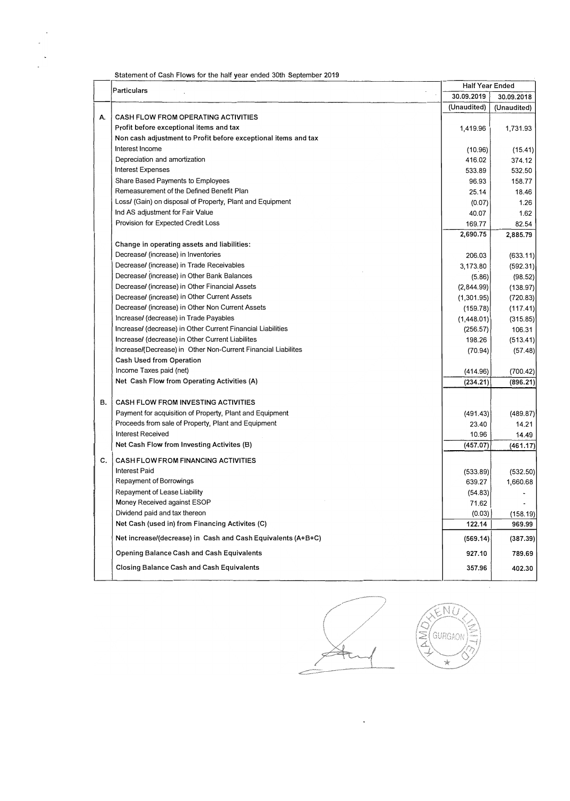| Statement of Cash Flows for the half year ended 30th September 2019 |  |
|---------------------------------------------------------------------|--|
|---------------------------------------------------------------------|--|

|    | <b>Particulars</b>                                             | <b>Half Year Ended</b> |             |
|----|----------------------------------------------------------------|------------------------|-------------|
|    |                                                                | 30.09,2019             | 30.09.2018  |
|    |                                                                | (Unaudited)            | (Unaudited) |
| А. | <b>CASH FLOW FROM OPERATING ACTIVITIES</b>                     |                        |             |
|    | Profit before exceptional items and tax                        | 1,419.96               | 1,731.93    |
|    | Non cash adjustment to Profit before exceptional items and tax |                        |             |
|    | Interest Income                                                | (10.96)                | (15.41)     |
|    | Depreciation and amortization                                  | 416.02                 | 374.12      |
|    | <b>Interest Expenses</b>                                       | 533.89                 | 532,50      |
|    | Share Based Payments to Employees                              | 96.93                  | 158.77      |
|    | Remeasurement of the Defined Benefit Plan                      | 25.14                  | 18.46       |
|    | Loss/ (Gain) on disposal of Property, Plant and Equipment      | (0.07)                 | 1.26        |
|    | Ind AS adjustment for Fair Value                               | 40.07                  | 1.62        |
|    | Provision for Expected Credit Loss                             | 169.77                 | 82.54       |
|    |                                                                | 2,690.75               | 2,885.79    |
|    | Change in operating assets and liabilities:                    |                        |             |
|    | Decrease/ (increase) in Inventories                            | 206.03                 | (633.11)    |
|    | Decrease/ (increase) in Trade Receivables                      | 3,173.80               | (592.31)    |
|    | Decrease/ (increase) in Other Bank Balances                    | (5.86)                 | (98.52)     |
|    | Decrease/ (increase) in Other Financial Assets                 | (2,844.99)             | (138.97)    |
|    | Decrease/ (increase) in Other Current Assets                   | (1,301.95)             | (720.83)    |
|    | Decrease/ (increase) in Other Non Current Assets               | (159.78)               | (117.41)    |
|    | Increase/ (decrease) in Trade Payables                         | (1,448.01)             | (315.85)    |
|    | Increase/ (decrease) in Other Current Financial Liabilities    | (256.57)               | 106.31      |
|    | Increase/ (decrease) in Other Current Liabilites               | 198.26                 | (513.41)    |
|    | Increase/(Decrease) in Other Non-Current Financial Liabilites  | (70.94)                | (57.48)     |
|    | Cash Used from Operation                                       |                        |             |
|    | Income Taxes paid (net)                                        | (414.96)               | (700.42)    |
|    | Net Cash Flow from Operating Activities (A)                    | (234.21)               | (896.21)    |
| в. | <b>CASH FLOW FROM INVESTING ACTIVITIES</b>                     |                        |             |
|    | Payment for acquisition of Property, Plant and Equipment       | (491.43)               | (489.87)    |
|    | Proceeds from sale of Property, Plant and Equipment            | 23.40                  | 14.21       |
|    | <b>Interest Received</b>                                       | 10.96                  | 14.49       |
|    | Net Cash Flow from Investing Activites (B)                     | (457.07)               | (461.17)    |
|    |                                                                |                        |             |
| c. | <b>CASH FLOW FROM FINANCING ACTIVITIES</b>                     |                        |             |
|    | <b>Interest Paid</b>                                           | (533.89)               | (532.50)    |
|    | Repayment of Borrowings                                        | 639.27                 | 1,660.68    |
|    | Repayment of Lease Liability                                   | (54.83)                |             |
|    | Money Received against ESOP                                    | 71.62                  |             |
|    | Dividend paid and tax thereon                                  | (0.03)                 | (158.19)    |
|    | Net Cash (used in) from Financing Activites (C)                | 122.14                 | 969.99      |
|    | Net increase/(decrease) in Cash and Cash Equivalents (A+B+C)   | (569.14)               | (387.39)    |
|    | <b>Opening Balance Cash and Cash Equivalents</b>               | 927.10                 | 789.69      |
|    | <b>Closing Balance Cash and Cash Equivalents</b>               | 357.96                 | 402.30      |





 $\bar{z}$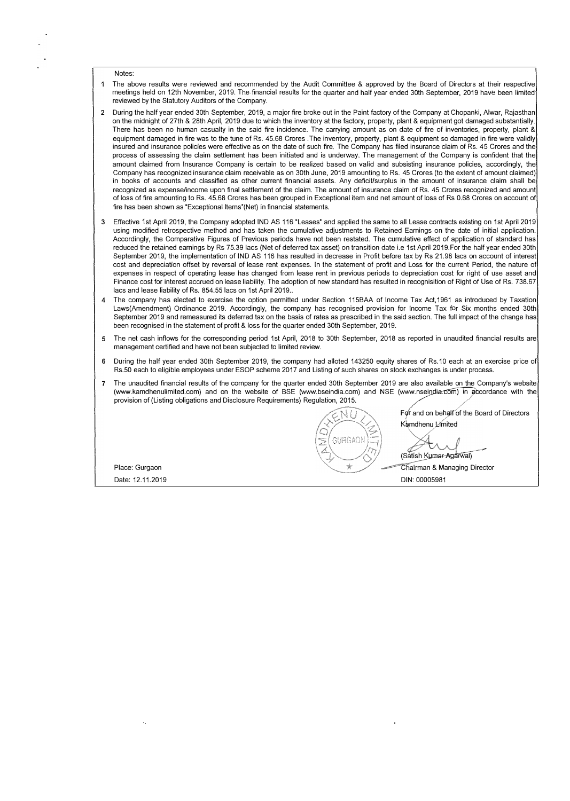Notes:

- The above results were reviewed and recommended by the Audit Committee & approved by the Board of Directors at their respective meetings held on 12th November, 2019. The-financial results for the quarter and half year ended 3oth September, 2019 have been limited reviewed by the Statutory Auditors of the Company.
- **2** During the half year ended 30th September, 2019, a major fire broke out in the Paint factory of the Company at Chopanki, Alwar, Rajasthan on the midnight of 27th & 28th April, 2019 due to which the inventory at the factory, property, plant & equipment got damaged substantially. There has been no human casualty in the said fire incidence. The carrying amount as on date of fire of inventories, property, plant & equipment damaged in fire was to the tune of Rs. 45.68 Crores .The inventory, property, plant & equipment so damaged in fire were validly insured and insurance policies were effective as on the date of such fire. The Company has filed insurance claim of Rs. 45 Crores and the process of assessing the claim settlement has been initiated and is underway. The management of the Company is confident that the amount claimed from Insurance Company is certain to be realized based on valid and subsisting insurance policies, accordingly, the Company has recognized insurance claim receivable as on 3oth June, 2019 amounting to Rs. 45 Crores (to the extent of amount claimed) in books of accounts and classified as other current financial assets. Any deficit/surplus in the amount of insurance claim shall be recognized as expense/income upon final settlement of the claim. The amount of insurance claim of Rs. 45 Crores recognized and amount of loss of fire amounting to Rs. 45.68 Crores has been grouped in Exceptional item and net amount of loss of Rs 0.68 Crores on account of fire has been shown as "Exceptional ltems'(Net) in financial statements.
- Effective 1st April 2019, the Company adopted IND AS 116 "Leases" and applied the same to all Lease contracts existing on 1st April 2019 using modified retrospective method and has taken the cumulative adjustments to Retained Earnings on the date of initial application. Accordingly, the Comparative Figures of Previous periods have not been restated. The cumulative effect of application of standard has reduced the retained earnings by Rs 75.39 lacs (Net of deferred tax asset) on transition date i.e 1st April 2019.For the half year ended 30th September 2019, the implementation of IND AS 116 has resulted in decrease in Profit before tax by Rs 21.98 lacs on account of interest cost and depreciation offset by reversal of lease rent expenses. In the statement of profit and Loss for the current Period, the nature of expenses in respect of operating lease has changed from lease rent in previous periods to depreciation cost for right of use asset and Finance cost for interest accrued on lease liability. The adoption of new standard has resulted in recognisition of Right of Use of Rs. 738.67 lacs and lease liability of Rs. 854.55 lacs on 1st April 2019..
- **4** The company has elected to exercise the option permitted under Section 115BAA of Income Tax Act,1961 as introduced by Taxation Laws(Amendment) Ordinance 2019. Accordingly, the company has recognised provision for Income Tax for Six months ended 30th September 2019 and remeasured its deferred tax on the basis of rates as prescribed in the said section. The full impact of the change has been recognised in the statement of profit & loss for the quarter ended 3oth September, 2019.
- 5 The net cash inflows for the corresponding period 1st April, 2018 to 30th September, 2018 as reported in unaudited financial results are management certified and have not been subjected to limited review.
- **6** During the half year ended 30th September 2019, the company had alloted 143250 equity shares of Rs.10 each at an exercise price of Rs.50 each to eligible employees under ESOP scheme 2017 and Listing of such shares on stock exchanges is under process.
- The unaudited financial results of the company for the quarter ended 30th September 2019 are also available on the Company's website (www.kamdhenulimited.com) and on the website of BSE (www.bseindia.com) and NSE (www.nseindia.com) in accordance with the provision of (Listing obligations and Disclosure Requirements) Regulation, 2015.

For and on behalf of the Board of Directors Kamdhenu Limited \_

 $\bar{\mathbf{r}}$ 

GURGAON

(Satish Kumar-Agarwal)

Place: Gurgaon **big and the Chairman & Managing Director big and the Managing Director** Date: 12.11.2019 DIN: 00005981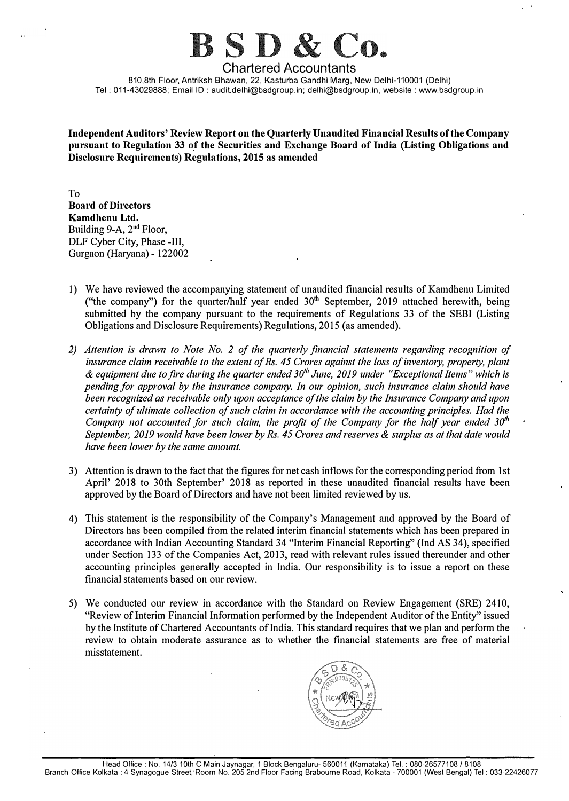# $BSD &$

**Chartered Accountants**  810,8th Floor, Antriksh Bhawan, 22, Kasturba Gandhi Marg, New Delhi-110001 (Delhi) Tel: 011-43029888; Email ID: audit.delhi@bsdgroup.in; delhi@bsdgroup.in, website: www.bsdgroup.in

**Independent Auditors' Review Report on the Quarterly Unaudited Financial Results of the Company**  pursuant to Regulation 33 of the Securities and Exchange Board of India (Listing Obligations and **Disclosure Requirements) Regulations, 2015 as amended** 

To **Board of Directors Kamdhenu Ltd.**  Building 9-A, 2<sup>nd</sup> Floor, DLF Cyber City, Phase -III, Gurgaon (Haryana) - 122002

- 1) We have reviewed the accompanying statement of unaudited financial results of Kamdhenu Limited ("the company") for the quarter/half year ended  $30<sup>th</sup>$  September, 2019 attached herewith, being submitted by the company pursuant to the requirements of Regulations 33 of the SEBI (Listing Obligations and Disclosure Requirements) Regulations, 2015 (as amended).
- *2) Attention is drawn to Note No. 2 of the quarterly financial statements regarding recognition of insurance claim receivable to the extent of Rs. 45 Crores against the loss of inventory, property, plant & equipment due to fire during the quarter ended J(j" June, 2019 under "Exceptional Items" which is pending for approval by the insurance company. In our opinion, such insurance claim should have been recognized as receivable only upon acceptance of the claim by the Insurance Company and upon certainty of ultimate collection of such claim in accordance with the accounting principles. Had the Company not accounted for such claim, the profit of the Company for the half year ended 30<sup>th</sup> September, 2019 would have been lower by Rs. 45 Crores and reserves & surplus as at that date would have been lower by the same amount.*
- 3) Attention is drawn to the fact that the figures for net cash inflows for the corresponding period from 1st April' 2018 to 30th September' 2018 as reported in these unaudited financial results have been approved by the Board of Directors and have not been limited reviewed by us.
- 4) This statement is the responsibility of the Company's Management and approved by the Board of Directors has been compiled from the related interim financial statements which has been prepared in accordance with Indian Accounting Standard 34 "Interim Financial Reporting" (Ind AS 34), specified under Section 133 of the Companies Act, 2013, read with relevant rules issued thereunder and other accounting principles generally accepted in India. Our responsibility is to issue a report on these financial statements based on our review.
- 5) We conducted our review in accordance with the Standard on Review Engagement (SRE) 2410, "Review of Interim Financial Information performed by the Independent Auditor of the Entity" issued by the Institute of Chartered Accountants of India. This standard requires that we plan and perform the review to obtain moderate assurance as to whether the financial statements are free of material misstatement.

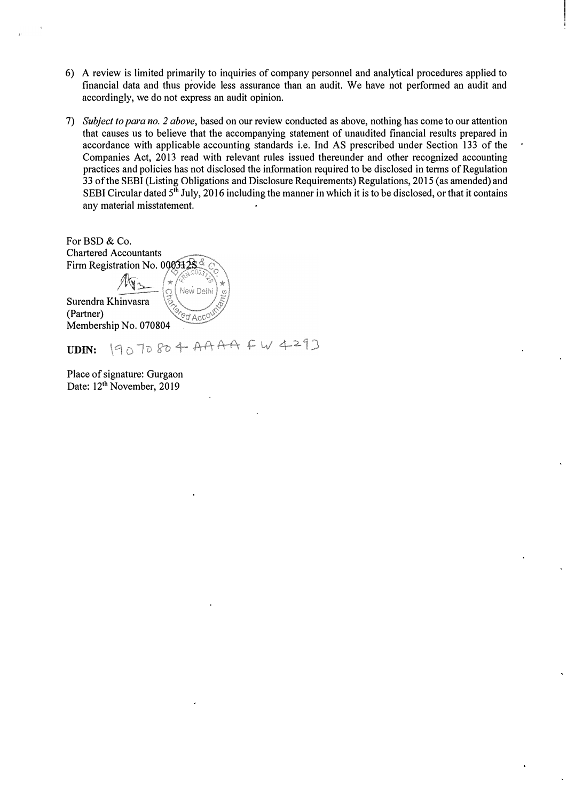- 6) A review is limited primarily to inquiries of company personnel and analytical procedures applied to financial data and thus provide less assurance than an audit. We have not performed an audit and accordingly, we do not express an audit opinion.
- 7) *Subject to para no. 2 above,* based on our review conducted as above, nothing has come to our attention that causes us to believe that the accompanying statement of unaudited financial results prepared in accordance with applicable accounting standards i.e. Ind AS prescribed under Section 133 of the Companies Act, 2013 read with relevant rules issued thereunder and other recognized accounting practices and policies has not disclosed the information required to be disclosed in terms of Regulation 33 of the SEBI (Listing Obligations and Disclosure Requirements) Regulations, 2015 (as amended) and SEBI Circular dated 5<sup>th</sup> July, 2016 including the manner in which it is to be disclosed, or that it contains any material misstatement.

For BSD & Co. Chartered Accountants Firm Registration No. 000332S New Doll Surendra Khinvasra (Partner) CO ACCO Membership No. 070804

19070804 AAAA FW 4293 UDIN:

Place of signature: Gurgaon Date: 12<sup>th</sup> November, 2019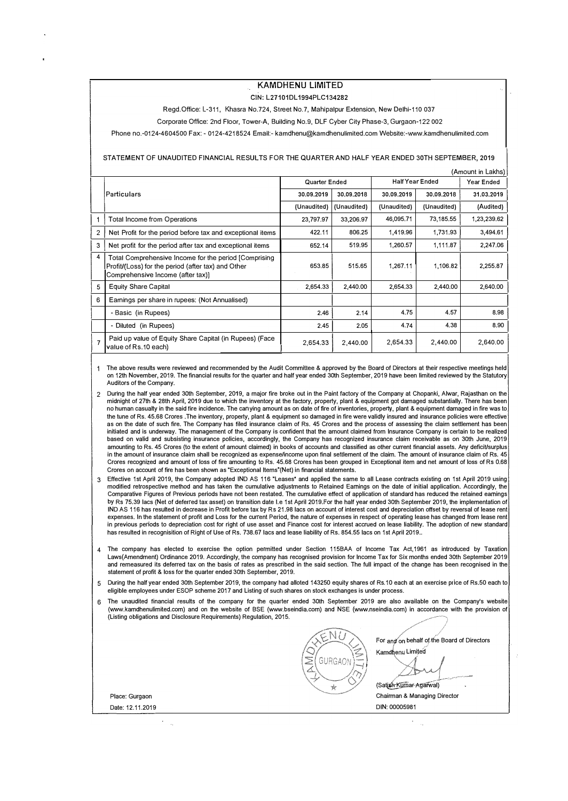### **KAMDHENU LIMITED**

GIN: L27101DL 1994PLC134282

Regd.Office: L-311, Khasra No.724, Street No.7, Mahipalpur Extension, New Delhi-110 037

Corporate Office: 2nd Floor, Tower-A, Building No.9, DLF Cyber City Phase-3, Gurgaon-122 002

Phone no.-0124-4604500 Fax: - 0124-4218524 Email:-kamdhenu@kamdhenulimited.comWebsite:-www.kamdhenulimited.com

#### STATEMENT OF UNAUDITED FINANCIAL RESULTS FOR THE QUARTER AND HALF YEAR ENDED 30TH SEPTEMBER, 2019

|                | (Amount in Lakhs)                                                                                                                                 |             |               |             |                        |             |
|----------------|---------------------------------------------------------------------------------------------------------------------------------------------------|-------------|---------------|-------------|------------------------|-------------|
|                |                                                                                                                                                   |             | Quarter Ended |             | <b>Half Year Ended</b> |             |
|                | Particulars                                                                                                                                       | 30.09.2019  | 30.09.2018    | 30.09.2019  | 30.09.2018             | 31.03.2019  |
|                |                                                                                                                                                   | (Unaudited) | (Unaudited)   | (Unaudited) | (Unaudited)            | (Audited)   |
|                | <b>Total Income from Operations</b>                                                                                                               | 23,797.97   | 33,206.97     | 46,095.71   | 73,185.55              | 1,23,239.62 |
| 2              | Net Profit for the period before tax and exceptional items                                                                                        | 422.11      | 806.25        | 1,419.96    | 1,731.93               | 3,494.61    |
| 3              | Net profit for the period after tax and exceptional items                                                                                         | 652.14      | 519.95        | 1,260.57    | 1,111.87               | 2,247.06    |
| 4              | Total Comprehensive Income for the period [Comprising]<br>Profit/(Loss) for the period (after tax) and Other<br>Comprehensive Income (after tax)] | 653.85      | 515.65        | 1,267.11    | 1,106.82               | 2,255.87    |
| 5              | <b>Equity Share Capital</b>                                                                                                                       | 2,654.33    | 2,440.00      | 2,654.33    | 2,440.00               | 2,640.00    |
| 6              | Earnings per share in rupees: (Not Annualised)                                                                                                    |             |               |             |                        |             |
|                | - Basic (in Rupees)                                                                                                                               | 2.46        | 2.14          | 4.75        | 4.57                   | 8,98        |
|                | - Diluted (in Rupees)                                                                                                                             | 2.45        | 2.05          | 4.74        | 4.38                   | 8.90        |
| $\overline{7}$ | Paid up value of Equity Share Capital (in Rupees) (Face<br>value of Rs.10 each)                                                                   | 2,654.33    | 2,440.00      | 2,654.33    | 2,440.00               | 2,640.00    |

1 The above results were reviewed and recommended by the Audit Committee & approved by the Board of Directors at their respective meetings held on 12th November, 2019. The financial results for the quarter and half year ended 3Dth September, 2019 have been limited reviewed by the Statutory Auditors of the Company.

- 2 During the half year ended 3Dth September, 2019, a major fire broke out in the Paint factory of the Company at Chopanki, Alwar, Rajasthan on the midnight of 27th & 28th April, 2019 due to which the inventory at the factory, property, plant & equipment got damaged substantially. There has been no human casualty in the said fire incidence. The canrying amount as on date of fire of inventories, property, plant & equipment damaged in fire was to the tune of Rs. 45.68 Crores .The inventory, property, plant & equipment so damaged in fire were validly insured and insurance policies were effective as on the date of such fire. The Company has filed insurance claim of Rs. 45 Crores and the process of assessing the claim settlement has been initiated and is underway. The management of the Company is confident that the amount claimed from Insurance Company is certain to be realized based on valid and subsisting insurance policies, accordingly, the Company has recognized insurance claim receivable as on 30th June, 2019 amounting to Rs. 45 Crores (to the extent of amount claimed) in books of accounts and classified as other current financial assets. Any deficit/surplus in the amount of insurance claim shall be recognized as expense/income upon final settlement of the claim. The amount of insurance claim of Rs. 45 Crores recognized and amount of loss of fire amounting to Rs. 45.68 Crores has been grouped in Exceptional item and net amount of loss of Rs 0.68 Crores on account of fire has been shown as "Exceptional ltems"(Net) in financial statements.
- 3 Effective 1st April 2019, the Company adopted IND AS 116 "Leases" and applied the same to all Lease contracts existing on 1st April 2019 using modified retrospective method and has taken the cumulative adjustments to Retained Earnings on the date of initial application. Accordingly, the Comparative Figures of Previous periods have not been restated. The cumulative effect of application of standard has reduced the retained earnings by Rs 75.39 lacs (Net of deferred tax asset) on transition date l.e 1st April 2019.For the half year ended 3Dth September 2019, the implementation of IND AS 116 has resulted in decrease in Profit before tax by Rs 21.98 lacs on account of interest cost and depreciation offset by reversal of lease rent expenses. In the statement of profit and Loss for the current Period, the nature of expenses in respect of operating lease has changed from lease rent in previous periods to depreciation cost for right of use asset and Finance cost for interest accrued on lease liability. The adoption of new standard has resulted in recognisition of Right of Use of Rs. 738.67 lacs and lease liability of Rs. 854.55 lacs on 1st April 2019.
- 4 The company has elected to exercise the option permitted under Section 115BAA of Income Tax Act, 1961 as introduced by Taxation Laws(Amendment) Ordinance 2019. Accordingly, the company has recognised provision for Income Tax for Six months ended 3Dth September 2019 and remeasured its deferred tax on the basis of rates as prescribed in the said section. The full impact of the change has been recognised in the statement of profit & loss for the quarter ended 3Dth September, 2019.
- 5 During the half year ended 3Dth September 2019, the company had alloted 143250 equity shares of Rs.10 each at an exercise price of Rs.50 each to eligible employees under ESOP scheme 2017 and Listing of such shares on stock exchanges is under process.
- 6 The unaudited financial results of the company for the quarter ended 3Dth September 2019 are also available on the Company's website (www.kamdhenulimited.com) and on the website of BSE (www.bseindia.com) and NSE (www.nseindia.com) in accordance with the provision of (Listing obligations and Disclosure Requirements) Regulation, 2015.

|                  | For and on behalf of the Board of Directors<br>Kamdhenu Limited<br><b>Source of</b><br><b>GURGAON</b><br>connect<br><b>Police Inc.</b><br><b><i>Princess A</i></b><br><b><i><u>Secretary</u></i></b><br>(Satish Kumar Agarwal)<br>實 |
|------------------|-------------------------------------------------------------------------------------------------------------------------------------------------------------------------------------------------------------------------------------|
| Place: Gurgaon   | Chairman & Managing Director                                                                                                                                                                                                        |
| Date: 12.11.2019 | DIN: 00005981                                                                                                                                                                                                                       |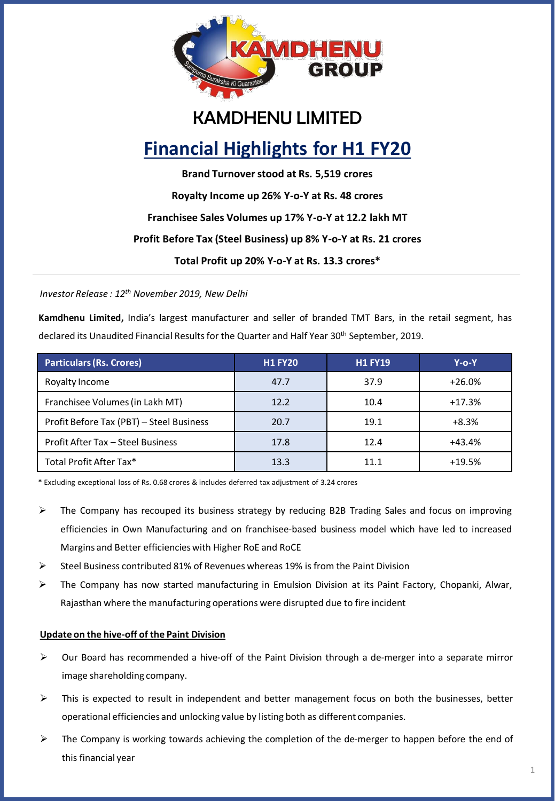

### KAMDHENU LIMITED

### **Financial Highlights for H1 FY20**

**Brand Turnover stood at Rs. 5,519 crores Royalty Income up 26% Y-o-Y at Rs. 48 crores Franchisee Sales Volumes up 17% Y-o-Y at 12.2 lakh MT Profit Before Tax (Steel Business) up 8% Y-o-Y at Rs. 21 crores Total Profit up 20% Y-o-Y at Rs. 13.3 crores\***

*Investor Release : 12th November 2019, New Delhi*

**Kamdhenu Limited,** India's largest manufacturer and seller of branded TMT Bars, in the retail segment, has declared its Unaudited Financial Results for the Quarter and Half Year 30<sup>th</sup> September, 2019.

| <b>Particulars (Rs. Crores)</b>          | <b>H1 FY20</b> | <b>H1 FY19</b> | Y-o-Y    |
|------------------------------------------|----------------|----------------|----------|
| Royalty Income                           | 47.7           | 37.9           | $+26.0%$ |
| Franchisee Volumes (in Lakh MT)          | 12.2           | 10.4           | $+17.3%$ |
| Profit Before Tax (PBT) - Steel Business | 20.7           | 19.1           | $+8.3%$  |
| Profit After Tax - Steel Business        | 17.8           | 12.4           | $+43.4%$ |
| Total Profit After Tax*                  | 13.3           | 11.1           | $+19.5%$ |

\* Excluding exceptional loss of Rs. 0.68 crores & includes deferred tax adjustment of 3.24 crores

- $\triangleright$  The Company has recouped its business strategy by reducing B2B Trading Sales and focus on improving efficiencies in Own Manufacturing and on franchisee-based business model which have led to increased Margins and Better efficiencieswith Higher RoE and RoCE
- $\triangleright$  Steel Business contributed 81% of Revenues whereas 19% is from the Paint Division
- ➢ The Company has now started manufacturing in Emulsion Division at its Paint Factory, Chopanki, Alwar, Rajasthan where the manufacturing operations were disrupted due to fire incident

### **Update on the hive-off of the Paint Division**

- $\triangleright$  Our Board has recommended a hive-off of the Paint Division through a de-merger into a separate mirror image shareholding company.
- $\triangleright$  This is expected to result in independent and better management focus on both the businesses, better operational efficiencies and unlocking value by listing both as different companies.
- $\triangleright$  The Company is working towards achieving the completion of the de-merger to happen before the end of this financial year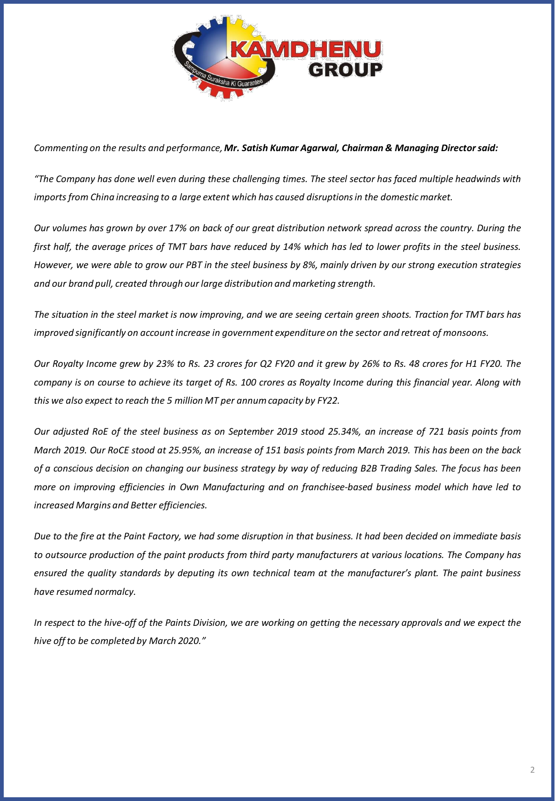

### *Commenting on the results and performance,Mr. Satish Kumar Agarwal, Chairman & Managing Directorsaid:*

"The Company has done well even during these challenging times. The steel sector has faced multiple headwinds with *importsfrom China increasing to a large extent which has caused disruptionsin the domestic market.*

Our volumes has grown by over 17% on back of our great distribution network spread across the country. During the first half, the average prices of TMT bars have reduced by 14% which has led to lower profits in the steel business. However, we were able to grow our PBT in the steel business by 8%, mainly driven by our strong execution strategies *and our brand pull, created through our large distribution and marketing strength.*

The situation in the steel market is now improving, and we are seeing certain green shoots. Traction for TMT bars has *improved significantly on account increase in government expenditure on the sector and retreat of monsoons.*

Our Royalty Income grew by 23% to Rs. 23 crores for Q2 FY20 and it grew by 26% to Rs. 48 crores for H1 FY20. The company is on course to achieve its target of Rs. 100 crores as Royalty Income during this financial year. Along with *this we also expect to reach the 5 million MT per annumcapacity by FY22.*

Our adjusted RoE of the steel business as on September 2019 stood 25.34%, an increase of 721 basis points from March 2019. Our RoCE stood at 25.95%, an increase of 151 basis points from March 2019. This has been on the back of a conscious decision on changing our business strategy by way of reducing B2B Trading Sales. The focus has been *more on improving efficiencies in Own Manufacturing and on franchisee-based business model which have led to increased Margins and Better efficiencies.*

Due to the fire at the Paint Factory, we had some disruption in that business. It had been decided on immediate basis to outsource production of the paint products from third party manufacturers at various locations. The Company has ensured the quality standards by deputing its own technical team at the manufacturer's plant. The paint business *have resumed normalcy.*

In respect to the hive-off of the Paints Division, we are working on getting the necessary approvals and we expect the *hive off to be completed by March 2020."*